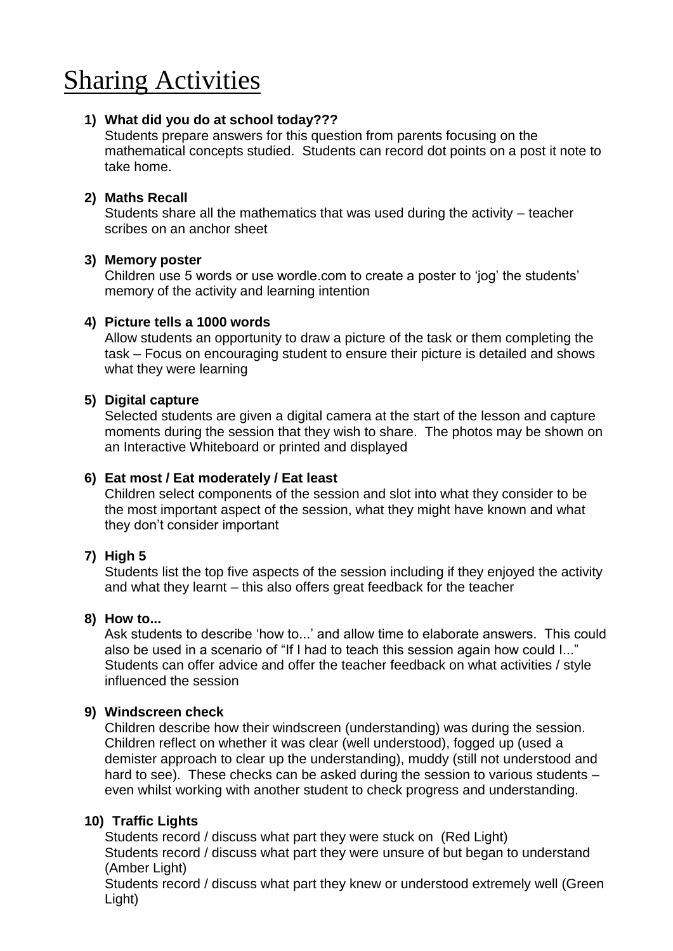# Sharing Activities

# **1) What did you do at school today???**

Students prepare answers for this question from parents focusing on the mathematical concepts studied. Students can record dot points on a post it note to take home.

# **2) Maths Recall**

Students share all the mathematics that was used during the activity – teacher scribes on an anchor sheet

#### **3) Memory poster**

Children use 5 words or use wordle.com to create a poster to 'jog' the students' memory of the activity and learning intention

# **4) Picture tells a 1000 words**

Allow students an opportunity to draw a picture of the task or them completing the task – Focus on encouraging student to ensure their picture is detailed and shows what they were learning

# **5) Digital capture**

Selected students are given a digital camera at the start of the lesson and capture moments during the session that they wish to share. The photos may be shown on an Interactive Whiteboard or printed and displayed

#### **6) Eat most / Eat moderately / Eat least**

Children select components of the session and slot into what they consider to be the most important aspect of the session, what they might have known and what they don't consider important

#### **7) High 5**

Students list the top five aspects of the session including if they enjoyed the activity and what they learnt – this also offers great feedback for the teacher

#### **8) How to...**

Ask students to describe 'how to...' and allow time to elaborate answers. This could also be used in a scenario of "If I had to teach this session again how could I..." Students can offer advice and offer the teacher feedback on what activities / style influenced the session

#### **9) Windscreen check**

Children describe how their windscreen (understanding) was during the session. Children reflect on whether it was clear (well understood), fogged up (used a demister approach to clear up the understanding), muddy (still not understood and hard to see). These checks can be asked during the session to various students even whilst working with another student to check progress and understanding.

#### **10) Traffic Lights**

Students record / discuss what part they were stuck on (Red Light) Students record / discuss what part they were unsure of but began to understand (Amber Light)

Students record / discuss what part they knew or understood extremely well (Green Light)